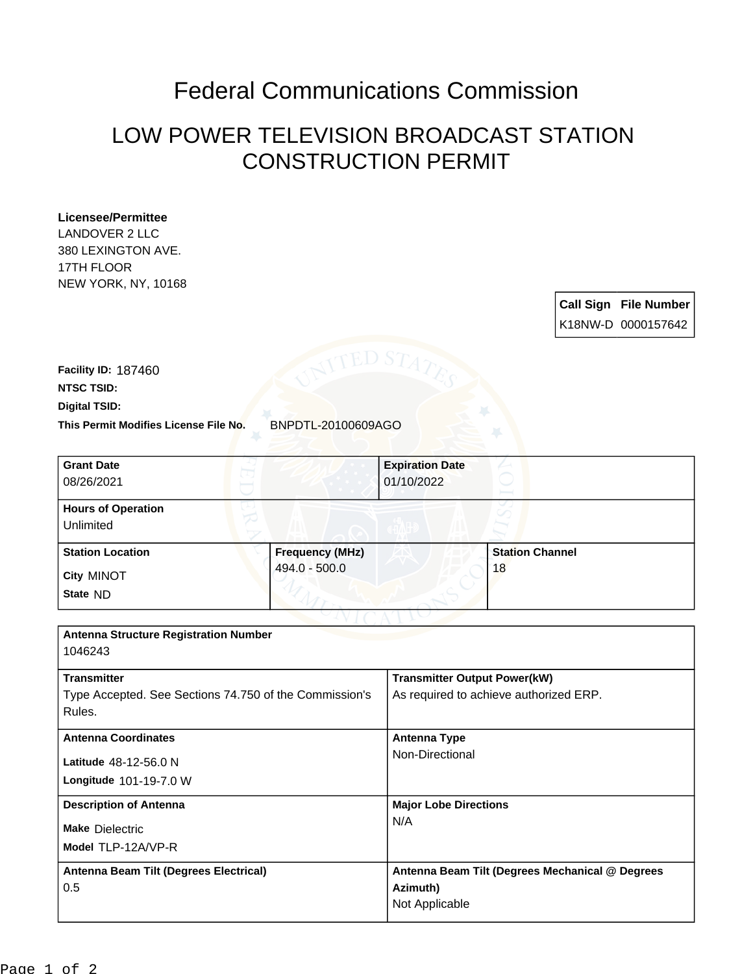## Federal Communications Commission

## LOW POWER TELEVISION BROADCAST STATION CONSTRUCTION PERMIT

## **Licensee/Permittee**

LANDOVER 2 LLC 380 LEXINGTON AVE. 17TH FLOOR NEW YORK, NY, 10168

> **Call Sign File Number** K18NW-D 0000157642

**This Permit Modifies License File No.** BNPDTL-20100609AGO **Digital TSID: NTSC TSID: Facility ID:** 187460

| <b>Grant Date</b><br>08/26/2021                                  |                        | <b>Expiration Date</b><br>01/10/2022   |                                                 |  |
|------------------------------------------------------------------|------------------------|----------------------------------------|-------------------------------------------------|--|
| <b>Hours of Operation</b><br>Unlimited                           |                        |                                        |                                                 |  |
| <b>Station Location</b>                                          | <b>Frequency (MHz)</b> |                                        | <b>Station Channel</b>                          |  |
| <b>City MINOT</b>                                                | 494.0 - 500.0          |                                        | 18                                              |  |
| State ND                                                         |                        |                                        |                                                 |  |
|                                                                  |                        |                                        |                                                 |  |
| <b>Antenna Structure Registration Number</b><br>1046243          |                        |                                        |                                                 |  |
| <b>Transmitter</b>                                               |                        | <b>Transmitter Output Power(kW)</b>    |                                                 |  |
| Type Accepted. See Sections 74.750 of the Commission's<br>Rules. |                        | As required to achieve authorized ERP. |                                                 |  |
| <b>Antenna Coordinates</b>                                       |                        | <b>Antenna Type</b>                    |                                                 |  |
| Latitude 48-12-56.0 N                                            |                        | Non-Directional                        |                                                 |  |
| Longitude 101-19-7.0 W                                           |                        |                                        |                                                 |  |
| <b>Description of Antenna</b>                                    |                        | <b>Major Lobe Directions</b><br>N/A    |                                                 |  |
| <b>Make Dielectric</b>                                           |                        |                                        |                                                 |  |
| Model TLP-12A/VP-R                                               |                        |                                        |                                                 |  |
| Antenna Beam Tilt (Degrees Electrical)<br>0.5                    |                        |                                        | Antenna Beam Tilt (Degrees Mechanical @ Degrees |  |
|                                                                  |                        | Azimuth)                               |                                                 |  |
|                                                                  |                        | Not Applicable                         |                                                 |  |